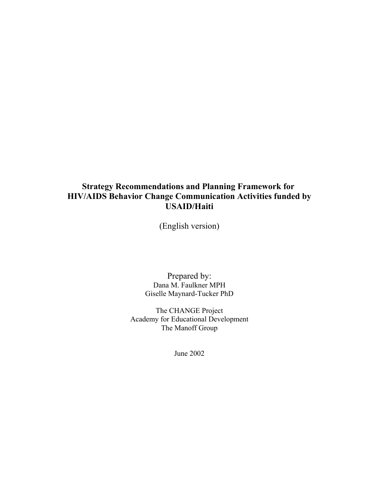## **Strategy Recommendations and Planning Framework for HIV/AIDS Behavior Change Communication Activities funded by USAID/Haiti**

(English version)

Prepared by: Dana M. Faulkner MPH Giselle Maynard-Tucker PhD

The CHANGE Project Academy for Educational Development The Manoff Group

June 2002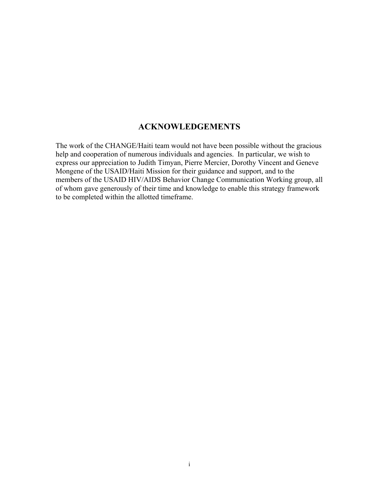## **ACKNOWLEDGEMENTS**

The work of the CHANGE/Haiti team would not have been possible without the gracious help and cooperation of numerous individuals and agencies. In particular, we wish to express our appreciation to Judith Timyan, Pierre Mercier, Dorothy Vincent and Geneve Mongene of the USAID/Haiti Mission for their guidance and support, and to the members of the USAID HIV/AIDS Behavior Change Communication Working group, all of whom gave generously of their time and knowledge to enable this strategy framework to be completed within the allotted timeframe.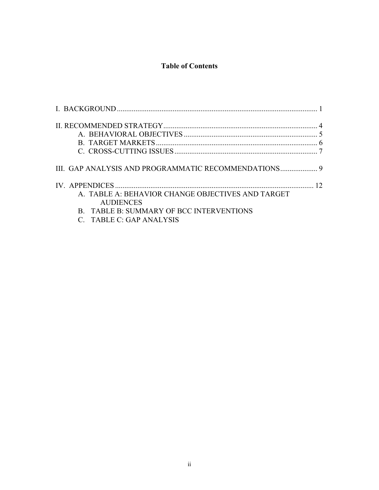# **Table of Contents**

|                                                   | 12 |
|---------------------------------------------------|----|
| A. TABLE A: BEHAVIOR CHANGE OBJECTIVES AND TARGET |    |
| <b>AUDIENCES</b>                                  |    |
| B. TABLE B: SUMMARY OF BCC INTERVENTIONS          |    |
| C. TABLE C: GAP ANALYSIS                          |    |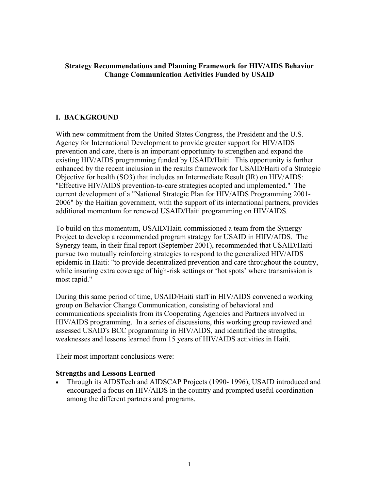#### **Strategy Recommendations and Planning Framework for HIV/AIDS Behavior Change Communication Activities Funded by USAID**

#### <span id="page-3-0"></span>**I. BACKGROUND**

With new commitment from the United States Congress, the President and the U.S. Agency for International Development to provide greater support for HIV/AIDS prevention and care, there is an important opportunity to strengthen and expand the existing HIV/AIDS programming funded by USAID/Haiti. This opportunity is further enhanced by the recent inclusion in the results framework for USAID/Haiti of a Strategic Objective for health (SO3) that includes an Intermediate Result (IR) on HIV/AIDS: "Effective HIV/AIDS prevention-to-care strategies adopted and implemented." The current development of a "National Strategic Plan for HIV/AIDS Programming 2001- 2006" by the Haitian government, with the support of its international partners, provides additional momentum for renewed USAID/Haiti programming on HIV/AIDS.

To build on this momentum, USAID/Haiti commissioned a team from the Synergy Project to develop a recommended program strategy for USAID in HIIV/AIDS. The Synergy team, in their final report (September 2001), recommended that USAID/Haiti pursue two mutually reinforcing strategies to respond to the generalized HIV/AIDS epidemic in Haiti: "to provide decentralized prevention and care throughout the country, while insuring extra coverage of high-risk settings or 'hot spots' where transmission is most rapid."

During this same period of time, USAID/Haiti staff in HIV/AIDS convened a working group on Behavior Change Communication, consisting of behavioral and communications specialists from its Cooperating Agencies and Partners involved in HIV/AIDS programming. In a series of discussions, this working group reviewed and assessed USAID's BCC programming in HIV/AIDS, and identified the strengths, weaknesses and lessons learned from 15 years of HIV/AIDS activities in Haiti.

Their most important conclusions were:

#### **Strengths and Lessons Learned**

• Through its AIDSTech and AIDSCAP Projects (1990-1996), USAID introduced and encouraged a focus on HIV/AIDS in the country and prompted useful coordination among the different partners and programs.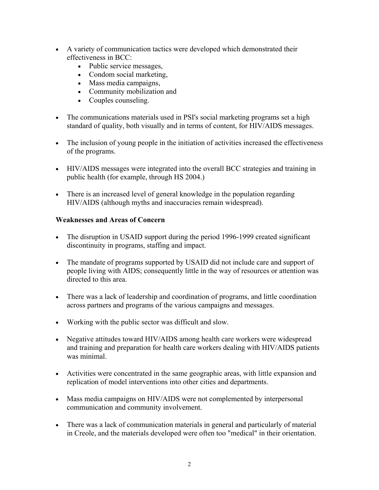- A variety of communication tactics were developed which demonstrated their effectiveness in BCC:
	- Public service messages,
	- Condom social marketing,
	- Mass media campaigns,
	- Community mobilization and
	- Couples counseling.
- The communications materials used in PSI's social marketing programs set a high standard of quality, both visually and in terms of content, for HIV/AIDS messages.
- The inclusion of young people in the initiation of activities increased the effectiveness of the programs.
- HIV/AIDS messages were integrated into the overall BCC strategies and training in public health (for example, through HS 2004.)
- There is an increased level of general knowledge in the population regarding HIV/AIDS (although myths and inaccuracies remain widespread).

#### **Weaknesses and Areas of Concern**

- The disruption in USAID support during the period 1996-1999 created significant discontinuity in programs, staffing and impact.
- The mandate of programs supported by USAID did not include care and support of people living with AIDS; consequently little in the way of resources or attention was directed to this area.
- There was a lack of leadership and coordination of programs, and little coordination across partners and programs of the various campaigns and messages.
- Working with the public sector was difficult and slow.
- Negative attitudes toward HIV/AIDS among health care workers were widespread and training and preparation for health care workers dealing with HIV/AIDS patients was minimal.
- Activities were concentrated in the same geographic areas, with little expansion and replication of model interventions into other cities and departments.
- Mass media campaigns on HIV/AIDS were not complemented by interpersonal communication and community involvement.
- There was a lack of communication materials in general and particularly of material in Creole, and the materials developed were often too "medical" in their orientation.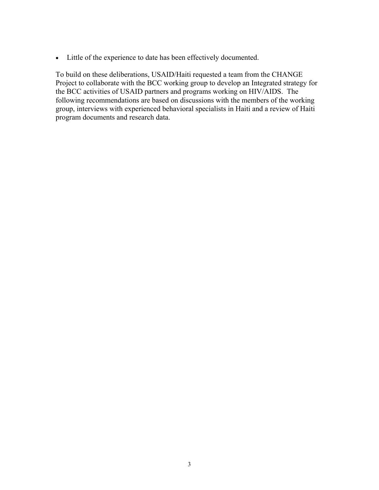• Little of the experience to date has been effectively documented.

To build on these deliberations, USAID/Haiti requested a team from the CHANGE Project to collaborate with the BCC working group to develop an Integrated strategy for the BCC activities of USAID partners and programs working on HIV/AIDS. The following recommendations are based on discussions with the members of the working group, interviews with experienced behavioral specialists in Haiti and a review of Haiti program documents and research data.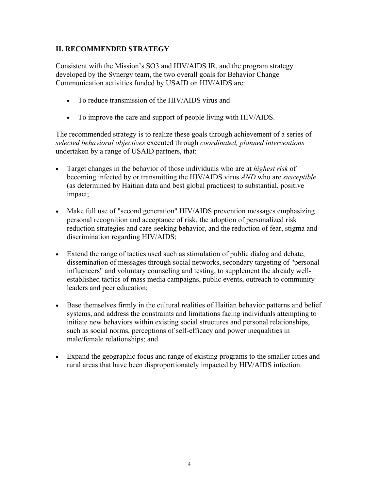### <span id="page-6-0"></span>**II. RECOMMENDED STRATEGY**

Consistent with the Mission's SO3 and HIV/AIDS IR, and the program strategy developed by the Synergy team, the two overall goals for Behavior Change Communication activities funded by USAID on HIV/AIDS are:

- To reduce transmission of the HIV/AIDS virus and
- To improve the care and support of people living with HIV/AIDS.

The recommended strategy is to realize these goals through achievement of a series of *selected behavioral objectives* executed through *coordinated, planned interventions* undertaken by a range of USAID partners, that:

- Target changes in the behavior of those individuals who are at *highest risk* of becoming infected by or transmitting the HIV/AIDS virus *AND* who are *susceptible* (as determined by Haitian data and best global practices) to substantial, positive impact;
- Make full use of "second generation" HIV/AIDS prevention messages emphasizing personal recognition and acceptance of risk, the adoption of personalized risk reduction strategies and care-seeking behavior, and the reduction of fear, stigma and discrimination regarding HIV/AIDS;
- Extend the range of tactics used such as stimulation of public dialog and debate, dissemination of messages through social networks, secondary targeting of "personal influencers" and voluntary counseling and testing, to supplement the already wellestablished tactics of mass media campaigns, public events, outreach to community leaders and peer education;
- Base themselves firmly in the cultural realities of Haitian behavior patterns and belief systems, and address the constraints and limitations facing individuals attempting to initiate new behaviors within existing social structures and personal relationships, such as social norms, perceptions of self-efficacy and power inequalities in male/female relationships; and
- Expand the geographic focus and range of existing programs to the smaller cities and rural areas that have been disproportionately impacted by HIV/AIDS infection.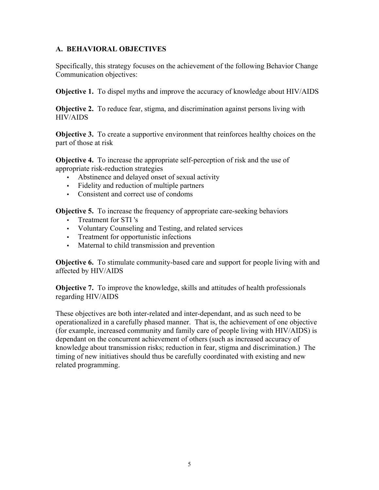### <span id="page-7-0"></span>**A. BEHAVIORAL OBJECTIVES**

Specifically, this strategy focuses on the achievement of the following Behavior Change Communication objectives:

**Objective 1.** To dispel myths and improve the accuracy of knowledge about HIV/AIDS

**Objective 2.** To reduce fear, stigma, and discrimination against persons living with HIV/AIDS

**Objective 3.** To create a supportive environment that reinforces healthy choices on the part of those at risk

**Objective 4.** To increase the appropriate self-perception of risk and the use of appropriate risk-reduction strategies

- Abstinence and delayed onset of sexual activity
- Fidelity and reduction of multiple partners
- Consistent and correct use of condoms

**Objective 5.** To increase the frequency of appropriate care-seeking behaviors

- Treatment for STI 's
- Voluntary Counseling and Testing, and related services
- Treatment for opportunistic infections
- Maternal to child transmission and prevention

**Objective 6.** To stimulate community-based care and support for people living with and affected by HIV/AIDS

**Objective 7.** To improve the knowledge, skills and attitudes of health professionals regarding HIV/AIDS

These objectives are both inter-related and inter-dependant, and as such need to be operationalized in a carefully phased manner. That is, the achievement of one objective (for example, increased community and family care of people living with HIV/AIDS) is dependant on the concurrent achievement of others (such as increased accuracy of knowledge about transmission risks; reduction in fear, stigma and discrimination.) The timing of new initiatives should thus be carefully coordinated with existing and new related programming.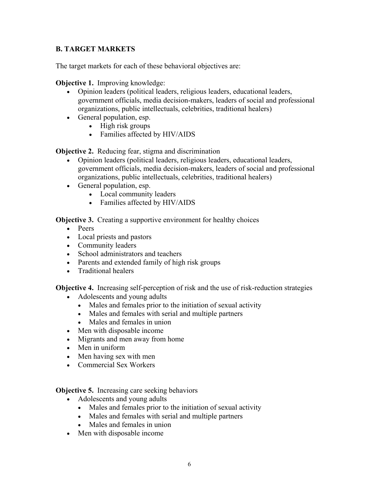## <span id="page-8-0"></span>**B. TARGET MARKETS**

The target markets for each of these behavioral objectives are:

**Objective 1.** Improving knowledge:

- Opinion leaders (political leaders, religious leaders, educational leaders, government officials, media decision-makers, leaders of social and professional organizations, public intellectuals, celebrities, traditional healers)
- General population, esp.
	- High risk groups
	- Families affected by HIV/AIDS

**Objective 2.** Reducing fear, stigma and discrimination

- Opinion leaders (political leaders, religious leaders, educational leaders, government officials, media decision-makers, leaders of social and professional organizations, public intellectuals, celebrities, traditional healers)
- General population, esp.
	- Local community leaders
	- Families affected by HIV/AIDS

**Objective 3.** Creating a supportive environment for healthy choices

- Peers
- Local priests and pastors
- Community leaders
- School administrators and teachers
- Parents and extended family of high risk groups
- Traditional healers

**Objective 4.** Increasing self-perception of risk and the use of risk-reduction strategies

- Adolescents and young adults
	- Males and females prior to the initiation of sexual activity
	- Males and females with serial and multiple partners
	- Males and females in union
- Men with disposable income
- Migrants and men away from home
- Men in uniform
- Men having sex with men
- Commercial Sex Workers

**Objective 5.** Increasing care seeking behaviors

- Adolescents and young adults
	- Males and females prior to the initiation of sexual activity
	- Males and females with serial and multiple partners
	- Males and females in union
- Men with disposable income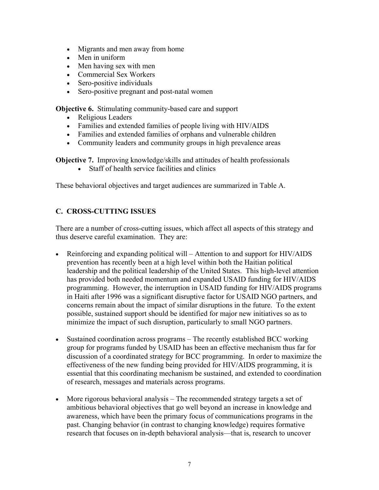- Migrants and men away from home
- Men in uniform
- Men having sex with men
- Commercial Sex Workers
- Sero-positive individuals
- Sero-positive pregnant and post-natal women

**Objective 6.** Stimulating community-based care and support

- Religious Leaders
- Families and extended families of people living with HIV/AIDS
- Families and extended families of orphans and vulnerable children
- Community leaders and community groups in high prevalence areas

**Objective 7.** Improving knowledge/skills and attitudes of health professionals

• Staff of health service facilities and clinics

These behavioral objectives and target audiences are summarized in Table A.

## <span id="page-9-0"></span>**C. CROSS-CUTTING ISSUES**

There are a number of cross-cutting issues, which affect all aspects of this strategy and thus deserve careful examination. They are:

- Reinforcing and expanding political will Attention to and support for HIV/AIDS prevention has recently been at a high level within both the Haitian political leadership and the political leadership of the United States. This high-level attention has provided both needed momentum and expanded USAID funding for HIV/AIDS programming. However, the interruption in USAID funding for HIV/AIDS programs in Haiti after 1996 was a significant disruptive factor for USAID NGO partners, and concerns remain about the impact of similar disruptions in the future. To the extent possible, sustained support should be identified for major new initiatives so as to minimize the impact of such disruption, particularly to small NGO partners.
- Sustained coordination across programs The recently established BCC working group for programs funded by USAID has been an effective mechanism thus far for discussion of a coordinated strategy for BCC programming. In order to maximize the effectiveness of the new funding being provided for HIV/AIDS programming, it is essential that this coordinating mechanism be sustained, and extended to coordination of research, messages and materials across programs.
- More rigorous behavioral analysis The recommended strategy targets a set of ambitious behavioral objectives that go well beyond an increase in knowledge and awareness, which have been the primary focus of communications programs in the past. Changing behavior (in contrast to changing knowledge) requires formative research that focuses on in-depth behavioral analysis—that is, research to uncover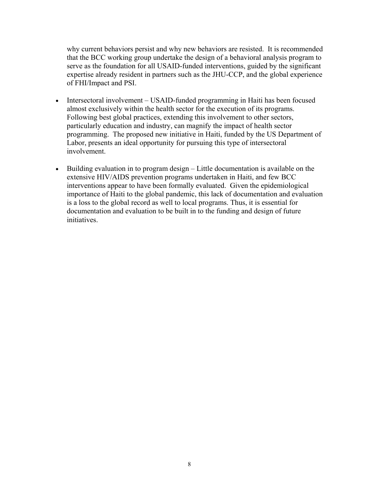why current behaviors persist and why new behaviors are resisted. It is recommended that the BCC working group undertake the design of a behavioral analysis program to serve as the foundation for all USAID-funded interventions, guided by the significant expertise already resident in partners such as the JHU-CCP, and the global experience of FHI/Impact and PSI.

- Intersectoral involvement USAID-funded programming in Haiti has been focused almost exclusively within the health sector for the execution of its programs. Following best global practices, extending this involvement to other sectors, particularly education and industry, can magnify the impact of health sector programming. The proposed new initiative in Haiti, funded by the US Department of Labor, presents an ideal opportunity for pursuing this type of intersectoral involvement.
- Building evaluation in to program design Little documentation is available on the extensive HIV/AIDS prevention programs undertaken in Haiti, and few BCC interventions appear to have been formally evaluated. Given the epidemiological importance of Haiti to the global pandemic, this lack of documentation and evaluation is a loss to the global record as well to local programs. Thus, it is essential for documentation and evaluation to be built in to the funding and design of future initiatives.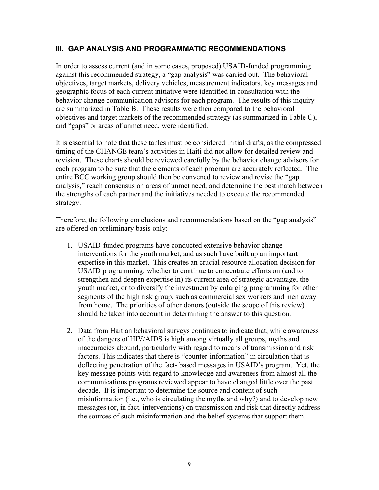## <span id="page-11-0"></span>**III. GAP ANALYSIS AND PROGRAMMATIC RECOMMENDATIONS**

In order to assess current (and in some cases, proposed) USAID-funded programming against this recommended strategy, a "gap analysis" was carried out. The behavioral objectives, target markets, delivery vehicles, measurement indicators, key messages and geographic focus of each current initiative were identified in consultation with the behavior change communication advisors for each program. The results of this inquiry are summarized in Table B. These results were then compared to the behavioral objectives and target markets of the recommended strategy (as summarized in Table C), and "gaps" or areas of unmet need, were identified.

It is essential to note that these tables must be considered initial drafts, as the compressed timing of the CHANGE team's activities in Haiti did not allow for detailed review and revision. These charts should be reviewed carefully by the behavior change advisors for each program to be sure that the elements of each program are accurately reflected. The entire BCC working group should then be convened to review and revise the "gap analysis," reach consensus on areas of unmet need, and determine the best match between the strengths of each partner and the initiatives needed to execute the recommended strategy.

Therefore, the following conclusions and recommendations based on the "gap analysis" are offered on preliminary basis only:

- 1. USAID-funded programs have conducted extensive behavior change interventions for the youth market, and as such have built up an important expertise in this market. This creates an crucial resource allocation decision for USAID programming: whether to continue to concentrate efforts on (and to strengthen and deepen expertise in) its current area of strategic advantage, the youth market, or to diversify the investment by enlarging programming for other segments of the high risk group, such as commercial sex workers and men away from home. The priorities of other donors (outside the scope of this review) should be taken into account in determining the answer to this question.
- 2. Data from Haitian behavioral surveys continues to indicate that, while awareness of the dangers of HIV/AIDS is high among virtually all groups, myths and inaccuracies abound, particularly with regard to means of transmission and risk factors. This indicates that there is "counter-information" in circulation that is deflecting penetration of the fact- based messages in USAID's program. Yet, the key message points with regard to knowledge and awareness from almost all the communications programs reviewed appear to have changed little over the past decade. It is important to determine the source and content of such misinformation (i.e., who is circulating the myths and why?) and to develop new messages (or, in fact, interventions) on transmission and risk that directly address the sources of such misinformation and the belief systems that support them.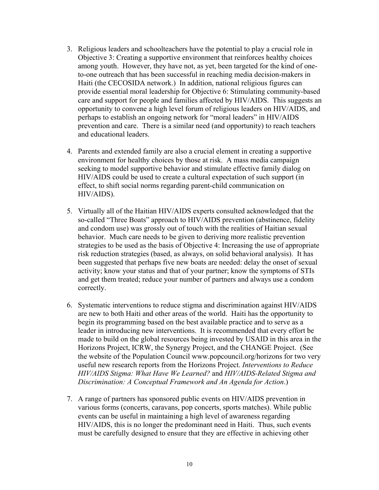- 3. Religious leaders and schoolteachers have the potential to play a crucial role in Objective 3: Creating a supportive environment that reinforces healthy choices among youth. However, they have not, as yet, been targeted for the kind of oneto-one outreach that has been successful in reaching media decision-makers in Haiti (the CECOSIDA network.) In addition, national religious figures can provide essential moral leadership for Objective 6: Stimulating community-based care and support for people and families affected by HIV/AIDS. This suggests an opportunity to convene a high level forum of religious leaders on HIV/AIDS, and perhaps to establish an ongoing network for "moral leaders" in HIV/AIDS prevention and care. There is a similar need (and opportunity) to reach teachers and educational leaders.
- 4. Parents and extended family are also a crucial element in creating a supportive environment for healthy choices by those at risk. A mass media campaign seeking to model supportive behavior and stimulate effective family dialog on HIV/AIDS could be used to create a cultural expectation of such support (in effect, to shift social norms regarding parent-child communication on HIV/AIDS).
- 5. Virtually all of the Haitian HIV/AIDS experts consulted acknowledged that the so-called "Three Boats" approach to HIV/AIDS prevention (abstinence, fidelity and condom use) was grossly out of touch with the realities of Haitian sexual behavior. Much care needs to be given to deriving more realistic prevention strategies to be used as the basis of Objective 4: Increasing the use of appropriate risk reduction strategies (based, as always, on solid behavioral analysis). It has been suggested that perhaps five new boats are needed: delay the onset of sexual activity; know your status and that of your partner; know the symptoms of STIs and get them treated; reduce your number of partners and always use a condom correctly.
- 6. Systematic interventions to reduce stigma and discrimination against HIV/AIDS are new to both Haiti and other areas of the world. Haiti has the opportunity to begin its programming based on the best available practice and to serve as a leader in introducing new interventions. It is recommended that every effort be made to build on the global resources being invested by USAID in this area in the Horizons Project, ICRW, the Synergy Project, and the CHANGE Project. (See the website of the Population Council www.popcouncil.org/horizons for two very useful new research reports from the Horizons Project. *Interventions to Reduce HIV/AIDS Stigma: What Have We Learned?* and *HIV/AIDS-Related Stigma and Discrimination: A Conceptual Framework and An Agenda for Action*.)
- 7. A range of partners has sponsored public events on HIV/AIDS prevention in various forms (concerts, caravans, pop concerts, sports matches). While public events can be useful in maintaining a high level of awareness regarding HIV/AIDS, this is no longer the predominant need in Haiti. Thus, such events must be carefully designed to ensure that they are effective in achieving other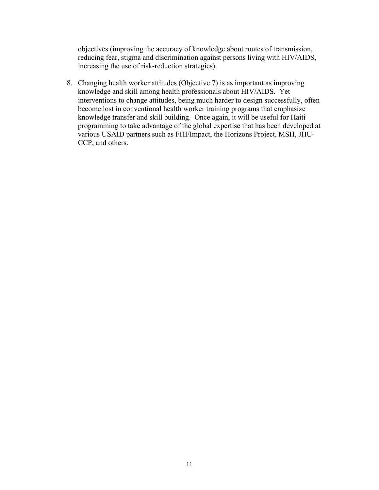objectives (improving the accuracy of knowledge about routes of transmission, reducing fear, stigma and discrimination against persons living with HIV/AIDS, increasing the use of risk-reduction strategies).

8. Changing health worker attitudes (Objective 7) is as important as improving knowledge and skill among health professionals about HIV/AIDS. Yet interventions to change attitudes, being much harder to design successfully, often become lost in conventional health worker training programs that emphasize knowledge transfer and skill building. Once again, it will be useful for Haiti programming to take advantage of the global expertise that has been developed at various USAID partners such as FHI/Impact, the Horizons Project, MSH, JHU-CCP, and others.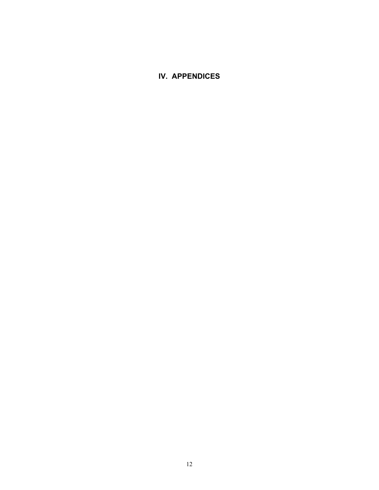## <span id="page-14-0"></span>**IV. APPENDICES**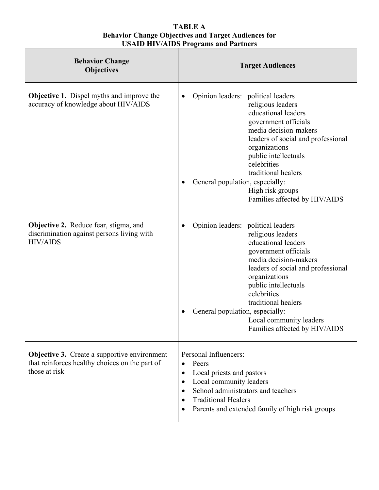#### **TABLE A Behavior Change Objectives and Target Audiences for USAID HIV/AIDS Programs and Partners**

| <b>Behavior Change</b><br><b>Objectives</b>                                                                            | <b>Target Audiences</b>                                                                                                                                                                                                                                                                                                                             |
|------------------------------------------------------------------------------------------------------------------------|-----------------------------------------------------------------------------------------------------------------------------------------------------------------------------------------------------------------------------------------------------------------------------------------------------------------------------------------------------|
| <b>Objective 1.</b> Dispel myths and improve the<br>accuracy of knowledge about HIV/AIDS                               | Opinion leaders: political leaders<br>religious leaders<br>educational leaders<br>government officials<br>media decision-makers<br>leaders of social and professional<br>organizations<br>public intellectuals<br>celebrities<br>traditional healers<br>General population, especially:<br>High risk groups<br>Families affected by HIV/AIDS        |
| <b>Objective 2.</b> Reduce fear, stigma, and<br>discrimination against persons living with<br><b>HIV/AIDS</b>          | Opinion leaders: political leaders<br>religious leaders<br>educational leaders<br>government officials<br>media decision-makers<br>leaders of social and professional<br>organizations<br>public intellectuals<br>celebrities<br>traditional healers<br>General population, especially:<br>Local community leaders<br>Families affected by HIV/AIDS |
| <b>Objective 3.</b> Create a supportive environment<br>that reinforces healthy choices on the part of<br>those at risk | Personal Influencers:<br>Peers<br>Local priests and pastors<br>$\bullet$<br>Local community leaders<br>School administrators and teachers<br><b>Traditional Healers</b><br>Parents and extended family of high risk groups                                                                                                                          |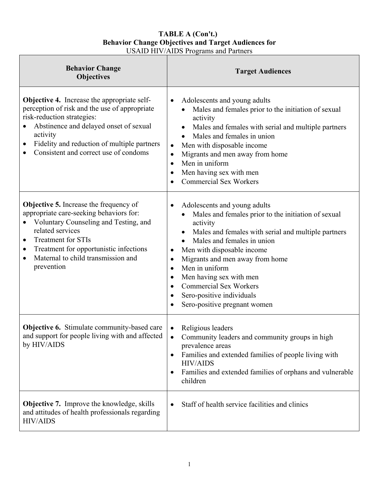### **TABLE A (Con't.) Behavior Change Objectives and Target Audiences for**  USAID HIV/AIDS Programs and Partners

| <b>Behavior Change</b><br><b>Objectives</b>                                                                                                                                                                                                                                                              | <b>Target Audiences</b>                                                                                                                                                                                                                                                                                                                                                                                                                                                                     |
|----------------------------------------------------------------------------------------------------------------------------------------------------------------------------------------------------------------------------------------------------------------------------------------------------------|---------------------------------------------------------------------------------------------------------------------------------------------------------------------------------------------------------------------------------------------------------------------------------------------------------------------------------------------------------------------------------------------------------------------------------------------------------------------------------------------|
| <b>Objective 4.</b> Increase the appropriate self-<br>perception of risk and the use of appropriate<br>risk-reduction strategies:<br>Abstinence and delayed onset of sexual<br>$\bullet$<br>activity<br>Fidelity and reduction of multiple partners<br>٠<br>Consistent and correct use of condoms        | Adolescents and young adults<br>$\bullet$<br>Males and females prior to the initiation of sexual<br>activity<br>Males and females with serial and multiple partners<br>Males and females in union<br>Men with disposable income<br>$\bullet$<br>Migrants and men away from home<br>$\bullet$<br>Men in uniform<br>$\bullet$<br>Men having sex with men<br>$\bullet$<br><b>Commercial Sex Workers</b><br>$\bullet$                                                                           |
| <b>Objective 5.</b> Increase the frequency of<br>appropriate care-seeking behaviors for:<br>Voluntary Counseling and Testing, and<br>related services<br>Treatment for STIs<br>$\bullet$<br>Treatment for opportunistic infections<br>٠<br>Maternal to child transmission and<br>$\bullet$<br>prevention | Adolescents and young adults<br>$\bullet$<br>Males and females prior to the initiation of sexual<br>activity<br>Males and females with serial and multiple partners<br>Males and females in union<br>$\bullet$<br>Men with disposable income<br>$\bullet$<br>Migrants and men away from home<br>$\bullet$<br>Men in uniform<br>$\bullet$<br>Men having sex with men<br>$\bullet$<br><b>Commercial Sex Workers</b><br>$\bullet$<br>Sero-positive individuals<br>Sero-positive pregnant women |
| <b>Objective 6.</b> Stimulate community-based care<br>and support for people living with and affected<br>by HIV/AIDS                                                                                                                                                                                     | Religious leaders<br>$\bullet$<br>Community leaders and community groups in high<br>٠<br>prevalence areas<br>Families and extended families of people living with<br>٠<br><b>HIV/AIDS</b><br>Families and extended families of orphans and vulnerable<br>children                                                                                                                                                                                                                           |
| <b>Objective 7.</b> Improve the knowledge, skills<br>and attitudes of health professionals regarding<br><b>HIV/AIDS</b>                                                                                                                                                                                  | Staff of health service facilities and clinics<br>$\bullet$                                                                                                                                                                                                                                                                                                                                                                                                                                 |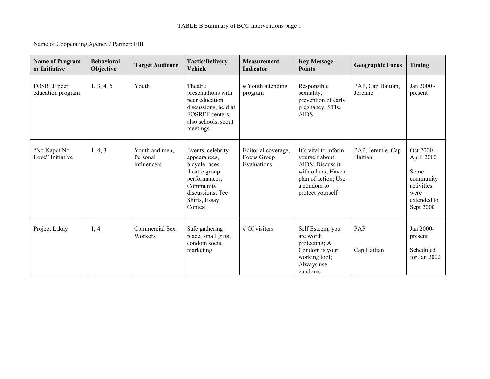#### Name of Cooperating Agency / Partner: FHI

| <b>Name of Program</b><br>or Initiative | <b>Behavioral</b><br>Objective | <b>Tactic/Delivery</b><br><b>Target Audience</b><br>Vehicle |                                                                                                                                                    | <b>Measurement</b><br><b>Indicator</b>            | <b>Key Message</b><br><b>Points</b>                                                                                                         | <b>Geographic Focus</b>      | Timing                                                                                          |
|-----------------------------------------|--------------------------------|-------------------------------------------------------------|----------------------------------------------------------------------------------------------------------------------------------------------------|---------------------------------------------------|---------------------------------------------------------------------------------------------------------------------------------------------|------------------------------|-------------------------------------------------------------------------------------------------|
| FOSREF peer<br>education program        | 1, 3, 4, 5                     | Youth                                                       | Theatre<br>presentations with<br>peer education<br>discussions, held at<br>FOSREF centers,<br>also schools, scout<br>meetings                      | $#$ Youth attending<br>program                    | Responsible<br>sexuality,<br>prevention of early<br>pregnancy, STIs,<br><b>AIDS</b>                                                         | PAP, Cap Haitian,<br>Jeremie | Jan 2000 -<br>present                                                                           |
| "No Kapot No<br>Love" Initiative        | 1, 4, 3                        | Youth and men;<br>Personal<br>influencers                   | Events, celebrity<br>appearances,<br>bicycle races,<br>theatre group<br>performances,<br>Community<br>discussions; Tee<br>Shirts, Essay<br>Contest | Editorial coverage;<br>Focus Group<br>Evaluations | It's vital to inform<br>yourself about<br>AIDS; Discuss it<br>with others; Have a<br>plan of action; Use<br>a condom to<br>protect yourself | PAP, Jeremie, Cap<br>Haitian | Oct 2000 -<br>April 2000<br>Some<br>community<br>activities<br>were<br>extended to<br>Sept 2000 |
| Project Lakay                           | 1, 4                           | Commercial Sex<br>Workers                                   | Safe gathering<br>place, small gifts;<br>condom social<br>marketing                                                                                | $#$ Of visitors                                   | Self Esteem, you<br>are worth<br>protecting; A<br>Condom is your<br>working tool;<br>Always use<br>condoms                                  | PAP<br>Cap Haitian           | Jan 2000-<br>present<br>Scheduled<br>for Jan $2002$                                             |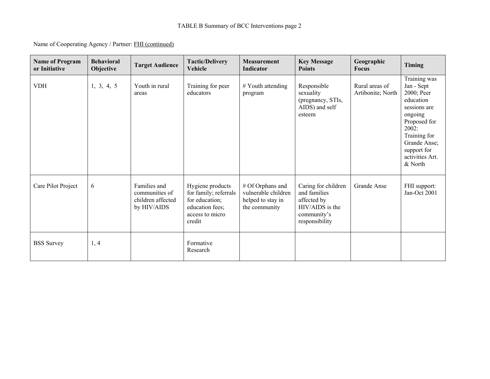#### Name of Cooperating Agency / Partner: FHI (continued)

| <b>Name of Program</b><br>or Initiative | <b>Behavioral</b><br>Objective | <b>Target Audience</b>                                             | <b>Tactic/Delivery</b><br>Vehicle                                                                           | <b>Measurement</b><br><b>Indicator</b>                                        | <b>Key Message</b><br><b>Points</b>                                                                    | Geographic<br><b>Focus</b>          | Timing                                                                                                                                                                                 |
|-----------------------------------------|--------------------------------|--------------------------------------------------------------------|-------------------------------------------------------------------------------------------------------------|-------------------------------------------------------------------------------|--------------------------------------------------------------------------------------------------------|-------------------------------------|----------------------------------------------------------------------------------------------------------------------------------------------------------------------------------------|
| <b>VDH</b>                              | 1, 3, 4, 5                     | Youth in rural<br>areas                                            | Training for peer<br>educators                                                                              | # Youth attending<br>program                                                  | Responsible<br>sexuality<br>(pregnancy, STIs,<br>AIDS) and self<br>esteem                              | Rural areas of<br>Artibonite; North | Training was<br>Jan - Sept<br>2000; Peer<br>education<br>sessions are<br>ongoing<br>Proposed for<br>2002:<br>Training for<br>Grande Anse;<br>support for<br>activities Art.<br>& North |
| Care Pilot Project                      | 6                              | Families and<br>communities of<br>children affected<br>by HIV/AIDS | Hygiene products<br>for family; referrals<br>for education;<br>education fees;<br>access to micro<br>credit | # Of Orphans and<br>vulnerable children<br>helped to stay in<br>the community | Caring for children<br>and families<br>affected by<br>HIV/AIDS is the<br>community's<br>responsibility | Grande Anse                         | FHI support:<br>Jan-Oct 2001                                                                                                                                                           |
| <b>BSS</b> Survey                       | 1, 4                           |                                                                    | Formative<br>Research                                                                                       |                                                                               |                                                                                                        |                                     |                                                                                                                                                                                        |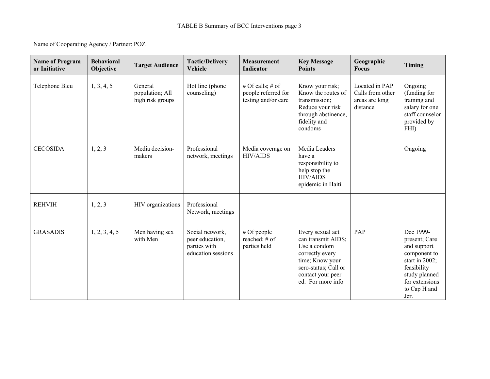#### Name of Cooperating Agency / Partner: POZ

| <b>Name of Program</b><br>or Initiative | <b>Behavioral</b><br>Objective | <b>Target Audience</b>                         | <b>Tactic/Delivery</b><br>Vehicle                                        | <b>Measurement</b><br>Indicator                                | <b>Key Message</b><br><b>Points</b>                                                                                                                            | Geographic<br><b>Focus</b>                                       | Timing                                                                                                                                                   |
|-----------------------------------------|--------------------------------|------------------------------------------------|--------------------------------------------------------------------------|----------------------------------------------------------------|----------------------------------------------------------------------------------------------------------------------------------------------------------------|------------------------------------------------------------------|----------------------------------------------------------------------------------------------------------------------------------------------------------|
| Telephone Bleu                          | 1, 3, 4, 5                     | General<br>population; All<br>high risk groups | Hot line (phone<br>counseling)                                           | # Of calls; # of<br>people referred for<br>testing and/or care | Know your risk;<br>Know the routes of<br>transmission;<br>Reduce your risk<br>through abstinence,<br>fidelity and<br>condoms                                   | Located in PAP<br>Calls from other<br>areas are long<br>distance | Ongoing<br>(funding for<br>training and<br>salary for one<br>staff counselor<br>provided by<br>FHI)                                                      |
| <b>CECOSIDA</b>                         | 1, 2, 3                        | Media decision-<br>makers                      | Professional<br>network, meetings                                        | Media coverage on<br><b>HIV/AIDS</b>                           | Media Leaders<br>have a<br>responsibility to<br>help stop the<br><b>HIV/AIDS</b><br>epidemic in Haiti                                                          |                                                                  | Ongoing                                                                                                                                                  |
| <b>REHVIH</b>                           | 1, 2, 3                        | HIV organizations                              | Professional<br>Network, meetings                                        |                                                                |                                                                                                                                                                |                                                                  |                                                                                                                                                          |
| <b>GRASADIS</b>                         | 1, 2, 3, 4, 5                  | Men having sex<br>with Men                     | Social network,<br>peer education,<br>parties with<br>education sessions | $#$ Of people<br>reached; # of<br>parties held                 | Every sexual act<br>can transmit AIDS;<br>Use a condom<br>correctly every<br>time; Know your<br>sero-status; Call or<br>contact your peer<br>ed. For more info | PAP                                                              | Dec 1999-<br>present; Care<br>and support<br>component to<br>start in $2002$ ;<br>feasibility<br>study planned<br>for extensions<br>to Cap H and<br>Jer. |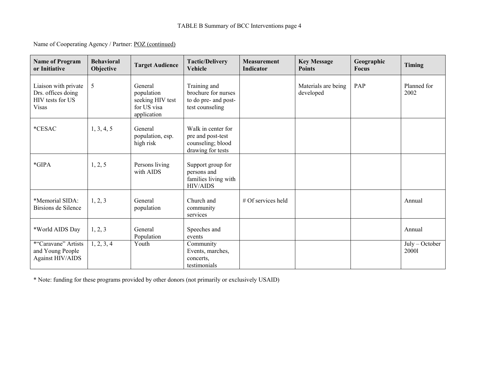Name of Cooperating Agency / Partner: POZ (continued)

| <b>Name of Program</b><br>or Initiative                                        | <b>Behavioral</b><br>Objective | <b>Target Audience</b>                                                  | <b>Tactic/Delivery</b><br>Vehicle                                                 | <b>Measurement</b><br><b>Indicator</b> | <b>Key Message</b><br><b>Points</b> | Geographic<br><b>Focus</b> | <b>Timing</b>             |
|--------------------------------------------------------------------------------|--------------------------------|-------------------------------------------------------------------------|-----------------------------------------------------------------------------------|----------------------------------------|-------------------------------------|----------------------------|---------------------------|
| Liaison with private<br>Drs. offices doing<br>HIV tests for US<br><b>Visas</b> | 5                              | General<br>population<br>seeking HIV test<br>for US visa<br>application | Training and<br>brochure for nurses<br>to do pre- and post-<br>test counseling    |                                        | Materials are being<br>developed    | PAP                        | Planned for<br>2002       |
| *CESAC                                                                         | 1, 3, 4, 5                     | General<br>population, esp.<br>high risk                                | Walk in center for<br>pre and post-test<br>counseling; blood<br>drawing for tests |                                        |                                     |                            |                           |
| $*GIPA$                                                                        | 1, 2, 5                        | Persons living<br>with AIDS                                             | Support group for<br>persons and<br>families living with<br><b>HIV/AIDS</b>       |                                        |                                     |                            |                           |
| *Memorial SIDA:<br>Birsions de Silence                                         | 1, 2, 3                        | General<br>population                                                   | Church and<br>community<br>services                                               | $#$ Of services held                   |                                     |                            | Annual                    |
| *World AIDS Day                                                                | 1, 2, 3                        | General<br>Population                                                   | Speeches and<br>events                                                            |                                        |                                     |                            | Annual                    |
| *"Caravane" Artists<br>and Young People<br><b>Against HIV/AIDS</b>             | 1, 2, 3, 4                     | Youth                                                                   | Community<br>Events, marches,<br>concerts,<br>testimonials                        |                                        |                                     |                            | $July - October$<br>20001 |

\* Note: funding for these programs provided by other donors (not primarily or exclusively USAID)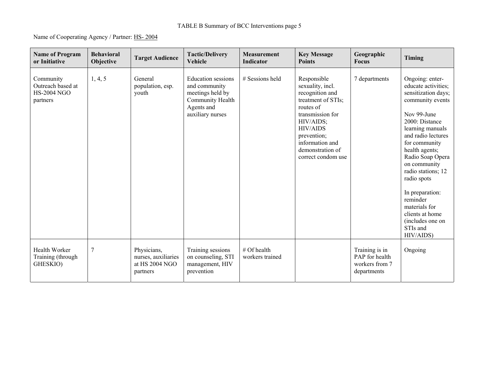### TABLE B Summary of BCC Interventions page 5

Name of Cooperating Agency / Partner: HS- 2004

| <b>Name of Program</b><br>or Initiative                          | <b>Behavioral</b><br>Objective | <b>Target Audience</b>                                           | <b>Tactic/Delivery</b><br>Vehicle                                                                                    | <b>Measurement</b><br>Indicator | <b>Key Message</b><br><b>Points</b>                                                                                                                                                                                   | Geographic<br><b>Focus</b>                                        | Timing                                                                                                                                                                                                                                                                                                                                                                                   |
|------------------------------------------------------------------|--------------------------------|------------------------------------------------------------------|----------------------------------------------------------------------------------------------------------------------|---------------------------------|-----------------------------------------------------------------------------------------------------------------------------------------------------------------------------------------------------------------------|-------------------------------------------------------------------|------------------------------------------------------------------------------------------------------------------------------------------------------------------------------------------------------------------------------------------------------------------------------------------------------------------------------------------------------------------------------------------|
| Community<br>Outreach based at<br><b>HS-2004 NGO</b><br>partners | 1, 4, 5                        | General<br>population, esp.<br>youth                             | <b>Education</b> sessions<br>and community<br>meetings held by<br>Community Health<br>Agents and<br>auxiliary nurses | # Sessions held                 | Responsible<br>sexuality, incl.<br>recognition and<br>treatment of STIs;<br>routes of<br>transmission for<br>HIV/AIDS;<br><b>HIV/AIDS</b><br>prevention;<br>information and<br>demonstration of<br>correct condom use | 7 departments                                                     | Ongoing: enter-<br>educate activities;<br>sensitization days;<br>community events<br>Nov 99-June<br>2000: Distance<br>learning manuals<br>and radio lectures<br>for community<br>health agents;<br>Radio Soap Opera<br>on community<br>radio stations; 12<br>radio spots<br>In preparation:<br>reminder<br>materials for<br>clients at home<br>(includes one on<br>STIs and<br>HIV/AIDS) |
| Health Worker<br>Training (through<br>GHESKIO)                   | 7                              | Physicians,<br>nurses, auxiliaries<br>at HS 2004 NGO<br>partners | Training sessions<br>on counseling, STI<br>management, HIV<br>prevention                                             | # Of health<br>workers trained  |                                                                                                                                                                                                                       | Training is in<br>PAP for health<br>workers from 7<br>departments | Ongoing                                                                                                                                                                                                                                                                                                                                                                                  |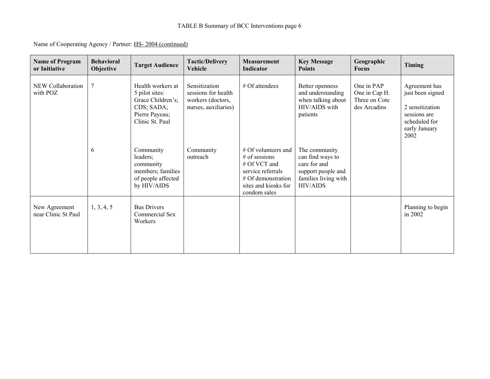| Name of Cooperating Agency / Partner: HS-2004 (continued) |
|-----------------------------------------------------------|
|-----------------------------------------------------------|

| <b>Name of Program</b><br>or Initiative | <b>Behavioral</b><br>Objective | <b>Target Audience</b>                                                                                      | <b>Tactic/Delivery</b><br>Vehicle                                                 | <b>Measurement</b><br>Indicator                                                                                                             | <b>Key Message</b><br><b>Points</b>                                                                                | Geographic<br><b>Focus</b>                                   | Timing                                                                                                         |
|-----------------------------------------|--------------------------------|-------------------------------------------------------------------------------------------------------------|-----------------------------------------------------------------------------------|---------------------------------------------------------------------------------------------------------------------------------------------|--------------------------------------------------------------------------------------------------------------------|--------------------------------------------------------------|----------------------------------------------------------------------------------------------------------------|
| NEW Collaboration<br>with POZ           | 7                              | Health workers at<br>5 pilot sites:<br>Grace Children's;<br>CDS; SADA;<br>Pierre Payeau;<br>Clinic St. Paul | Sensitization<br>sessions for health<br>workers (doctors,<br>nurses, auxiliaries) | $#$ Of attendees                                                                                                                            | Better openness<br>and understanding<br>when talking about<br>HIV/AIDS with<br>patients                            | One in PAP<br>One in Cap H.<br>Three on Cote<br>des Arcadins | Agreement has<br>just been signed<br>2 sensitization<br>sessions are<br>scheduled for<br>early January<br>2002 |
|                                         | 6                              | Community<br>leaders;<br>community<br>members; families<br>of people affected<br>by HIV/AIDS                | Community<br>outreach                                                             | $#$ Of volunteers and<br>$#$ of sessions<br># Of VCT and<br>service referrals<br># Of demonstration<br>sites and kiosks for<br>condom sales | The community<br>can find ways to<br>care for and<br>support people and<br>families living with<br><b>HIV/AIDS</b> |                                                              |                                                                                                                |
| New Agreement<br>near Clinic St Paul    | 1, 3, 4, 5                     | <b>Bus Drivers</b><br>Commercial Sex<br>Workers                                                             |                                                                                   |                                                                                                                                             |                                                                                                                    |                                                              | Planning to begin<br>in $2002$                                                                                 |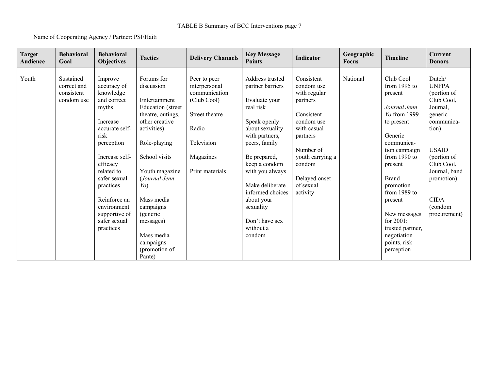### TABLE B Summary of BCC Interventions page 7

#### Name of Cooperating Agency / Partner: PSI/Haiti

| <b>Target</b><br><b>Audience</b> | <b>Behavioral</b><br>Goal                            | <b>Behavioral</b><br><b>Objectives</b>                                                                                                                                                                                                                                | <b>Tactics</b>                                                                                                                                                                                                                                                                                                       | <b>Delivery Channels</b>                                                                                                               | <b>Key Message</b><br><b>Points</b>                                                                                                                                                                                                                                                                    | Indicator                                                                                                                                                                                        | Geographic<br><b>Focus</b> | <b>Timeline</b>                                                                                                                                                                                                                                                                                                            | Current<br><b>Donors</b>                                                                                                                                                                                                |
|----------------------------------|------------------------------------------------------|-----------------------------------------------------------------------------------------------------------------------------------------------------------------------------------------------------------------------------------------------------------------------|----------------------------------------------------------------------------------------------------------------------------------------------------------------------------------------------------------------------------------------------------------------------------------------------------------------------|----------------------------------------------------------------------------------------------------------------------------------------|--------------------------------------------------------------------------------------------------------------------------------------------------------------------------------------------------------------------------------------------------------------------------------------------------------|--------------------------------------------------------------------------------------------------------------------------------------------------------------------------------------------------|----------------------------|----------------------------------------------------------------------------------------------------------------------------------------------------------------------------------------------------------------------------------------------------------------------------------------------------------------------------|-------------------------------------------------------------------------------------------------------------------------------------------------------------------------------------------------------------------------|
| Youth                            | Sustained<br>correct and<br>consistent<br>condom use | Improve<br>accuracy of<br>knowledge<br>and correct<br>myths<br>Increase<br>accurate self-<br>risk<br>perception<br>Increase self-<br>efficacy<br>related to<br>safer sexual<br>practices<br>Reinforce an<br>environment<br>supportive of<br>safer sexual<br>practices | Forums for<br>discussion<br>Entertainment<br>Education (street<br>theatre, outings,<br>other creative<br>activities)<br>Role-playing<br>School visits<br>Youth magazine<br>(Journal Jenn<br>$Y_O$<br>Mass media<br>campaigns<br><i>(generic</i> )<br>messages)<br>Mass media<br>campaigns<br>(promotion of<br>Pante) | Peer to peer<br>interpersonal<br>communication<br>(Club Cool)<br>Street theatre<br>Radio<br>Television<br>Magazines<br>Print materials | Address trusted<br>partner barriers<br>Evaluate your<br>real risk<br>Speak openly<br>about sexuality<br>with partners,<br>peers, family<br>Be prepared,<br>keep a condom<br>with you always<br>Make deliberate<br>informed choices<br>about your<br>sexuality<br>Don't have sex<br>without a<br>condom | Consistent<br>condom use<br>with regular<br>partners<br>Consistent<br>condom use<br>with casual<br>partners<br>Number of<br>youth carrying a<br>condom<br>Delayed onset<br>of sexual<br>activity | National                   | Club Cool<br>from $1995$ to<br>present<br>Journal Jenn<br><i>Yo</i> from 1999<br>to present<br>Generic<br>communica-<br>tion campaign<br>from $1990$ to<br>present<br><b>Brand</b><br>promotion<br>from $1989$ to<br>present<br>New messages<br>for 2001:<br>trusted partner,<br>negotiation<br>points, risk<br>perception | Dutch/<br><b>UNFPA</b><br>(portion of<br>Club Cool,<br>Journal,<br>generic<br>communica-<br>tion)<br><b>USAID</b><br>(portion of<br>Club Cool,<br>Journal, band<br>promotion)<br><b>CIDA</b><br>(condom<br>procurement) |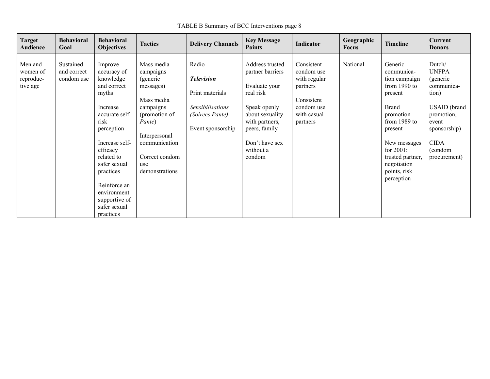TABLE B Summary of BCC Interventions page 8

| <b>Target</b><br>Audience                    | <b>Behavioral</b><br>Goal              | <b>Behavioral</b><br><b>Objectives</b>                                                                                                                                                                                                                                | <b>Tactics</b>                                                                                                                                                                      | <b>Delivery Channels</b>                                                                                  | <b>Key Message</b><br><b>Points</b>                                                                                                                                              | Indicator                                                                                                   | Geographic<br><b>Focus</b> | <b>Timeline</b>                                                                                                                                                                                                                | Current<br><b>Donors</b>                                                                                                                                          |
|----------------------------------------------|----------------------------------------|-----------------------------------------------------------------------------------------------------------------------------------------------------------------------------------------------------------------------------------------------------------------------|-------------------------------------------------------------------------------------------------------------------------------------------------------------------------------------|-----------------------------------------------------------------------------------------------------------|----------------------------------------------------------------------------------------------------------------------------------------------------------------------------------|-------------------------------------------------------------------------------------------------------------|----------------------------|--------------------------------------------------------------------------------------------------------------------------------------------------------------------------------------------------------------------------------|-------------------------------------------------------------------------------------------------------------------------------------------------------------------|
| Men and<br>women of<br>reproduc-<br>tive age | Sustained<br>and correct<br>condom use | Improve<br>accuracy of<br>knowledge<br>and correct<br>myths<br>Increase<br>accurate self-<br>risk<br>perception<br>Increase self-<br>efficacy<br>related to<br>safer sexual<br>practices<br>Reinforce an<br>environment<br>supportive of<br>safer sexual<br>practices | Mass media<br>campaigns<br>(generic<br>messages)<br>Mass media<br>campaigns<br>(promotion of<br>Pante)<br>Interpersonal<br>communication<br>Correct condom<br>use<br>demonstrations | Radio<br><b>Television</b><br>Print materials<br>Sensibilisations<br>(Soirees Pante)<br>Event sponsorship | Address trusted<br>partner barriers<br>Evaluate your<br>real risk<br>Speak openly<br>about sexuality<br>with partners,<br>peers, family<br>Don't have sex<br>without a<br>condom | Consistent<br>condom use<br>with regular<br>partners<br>Consistent<br>condom use<br>with casual<br>partners | National                   | Generic<br>communica-<br>tion campaign<br>from $1990$ to<br>present<br><b>Brand</b><br>promotion<br>from $1989$ to<br>present<br>New messages<br>for $2001$ :<br>trusted partner,<br>negotiation<br>points, risk<br>perception | Dutch/<br><b>UNFPA</b><br>(generic<br>communica-<br>tion)<br><b>USAID</b> (brand<br>promotion,<br>event<br>sponsorship)<br><b>CIDA</b><br>(condom<br>procurement) |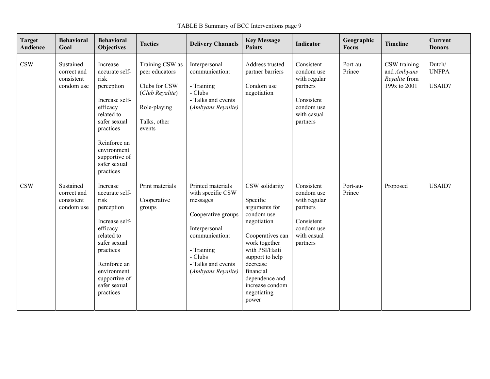TABLE B Summary of BCC Interventions page 9

| <b>Target</b><br><b>Audience</b> | <b>Behavioral</b><br>Goal                            | <b>Behavioral</b><br><b>Objectives</b>                                                                                                                                                                 | <b>Tactics</b>                                                                                                  | <b>Delivery Channels</b>                                                                                                                                                         | <b>Key Message</b><br><b>Points</b>                                                                                                                                                                                                      | <b>Indicator</b>                                                                                            | Geographic<br>Focus | <b>Timeline</b>                                              | <b>Current</b><br><b>Donors</b>         |
|----------------------------------|------------------------------------------------------|--------------------------------------------------------------------------------------------------------------------------------------------------------------------------------------------------------|-----------------------------------------------------------------------------------------------------------------|----------------------------------------------------------------------------------------------------------------------------------------------------------------------------------|------------------------------------------------------------------------------------------------------------------------------------------------------------------------------------------------------------------------------------------|-------------------------------------------------------------------------------------------------------------|---------------------|--------------------------------------------------------------|-----------------------------------------|
| $\mathbf{CSW}$                   | Sustained<br>correct and<br>consistent<br>condom use | Increase<br>accurate self-<br>risk<br>perception<br>Increase self-<br>efficacy<br>related to<br>safer sexual<br>practices<br>Reinforce an<br>environment<br>supportive of<br>safer sexual<br>practices | Training CSW as<br>peer educators<br>Clubs for CSW<br>(Club Reyalite)<br>Role-playing<br>Talks, other<br>events | Interpersonal<br>communication:<br>- Training<br>- Clubs<br>- Talks and events<br>(Ambyans Reyalite)                                                                             | Address trusted<br>partner barriers<br>Condom use<br>negotiation                                                                                                                                                                         | Consistent<br>condom use<br>with regular<br>partners<br>Consistent<br>condom use<br>with casual<br>partners | Port-au-<br>Prince  | CSW training<br>and Ambyans<br>Revalite from<br>199x to 2001 | Dutch/<br><b>UNFPA</b><br><b>USAID?</b> |
| CSW                              | Sustained<br>correct and<br>consistent<br>condom use | Increase<br>accurate self-<br>risk<br>perception<br>Increase self-<br>efficacy<br>related to<br>safer sexual<br>practices<br>Reinforce an<br>environment<br>supportive of<br>safer sexual<br>practices | Print materials<br>Cooperative<br>groups                                                                        | Printed materials<br>with specific CSW<br>messages<br>Cooperative groups<br>Interpersonal<br>communication:<br>- Training<br>- Clubs<br>- Talks and events<br>(Ambyans Reyalite) | CSW solidarity<br>Specific<br>arguments for<br>condom use<br>negotiation<br>Cooperatives can<br>work together<br>with PSI/Haiti<br>support to help<br>decrease<br>financial<br>dependence and<br>increase condom<br>negotiating<br>power | Consistent<br>condom use<br>with regular<br>partners<br>Consistent<br>condom use<br>with casual<br>partners | Port-au-<br>Prince  | Proposed                                                     | USAID?                                  |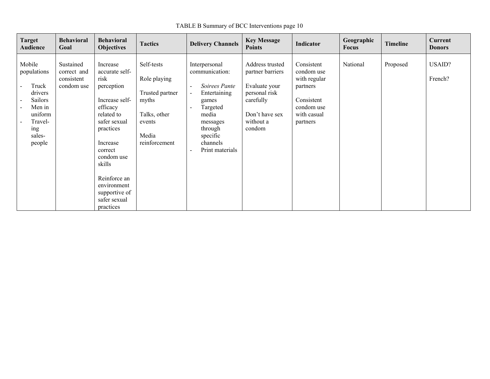TABLE B Summary of BCC Interventions page 10

| <b>Target</b><br><b>Audience</b>                                                                                | <b>Behavioral</b><br>Goal                            | <b>Behavioral</b><br><b>Objectives</b>                                                                                                                                                                                                                | <b>Tactics</b>                                                                                             | <b>Delivery Channels</b>                                                                                                                                                                                                                                                         | <b>Key Message</b><br><b>Points</b>                                                                                         | Indicator                                                                                                   | Geographic<br><b>Focus</b> | <b>Timeline</b> | Current<br><b>Donors</b> |
|-----------------------------------------------------------------------------------------------------------------|------------------------------------------------------|-------------------------------------------------------------------------------------------------------------------------------------------------------------------------------------------------------------------------------------------------------|------------------------------------------------------------------------------------------------------------|----------------------------------------------------------------------------------------------------------------------------------------------------------------------------------------------------------------------------------------------------------------------------------|-----------------------------------------------------------------------------------------------------------------------------|-------------------------------------------------------------------------------------------------------------|----------------------------|-----------------|--------------------------|
| Mobile<br>populations<br>Truck<br>drivers<br>Sailors<br>Men in<br>uniform<br>Travel-<br>ing<br>sales-<br>people | Sustained<br>correct and<br>consistent<br>condom use | Increase<br>accurate self-<br>risk<br>perception<br>Increase self-<br>efficacy<br>related to<br>safer sexual<br>practices<br>Increase<br>correct<br>condom use<br>skills<br>Reinforce an<br>environment<br>supportive of<br>safer sexual<br>practices | Self-tests<br>Role playing<br>Trusted partner<br>myths<br>Talks, other<br>events<br>Media<br>reinforcement | Interpersonal<br>communication:<br>Soirees Pante<br>$\overline{\phantom{a}}$<br>Entertaining<br>$\overline{\phantom{a}}$<br>games<br>Targeted<br>$\overline{\phantom{a}}$<br>media<br>messages<br>through<br>specific<br>channels<br>Print materials<br>$\overline{\phantom{a}}$ | Address trusted<br>partner barriers<br>Evaluate your<br>personal risk<br>carefully<br>Don't have sex<br>without a<br>condom | Consistent<br>condom use<br>with regular<br>partners<br>Consistent<br>condom use<br>with casual<br>partners | National                   | Proposed        | <b>USAID?</b><br>French? |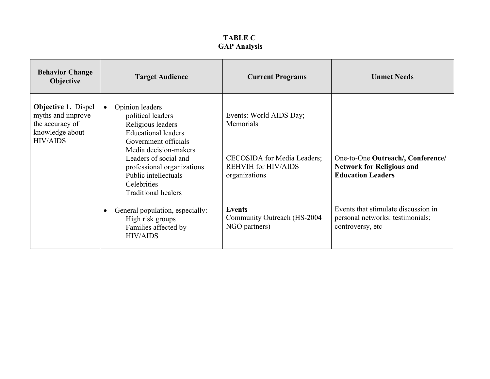| <b>Behavior Change</b><br><b>Objective</b>                                                               | <b>Target Audience</b>                                                                                                                                                                                                                                                                   | <b>Current Programs</b>                                                                                            | <b>Unmet Needs</b>                                                                                |
|----------------------------------------------------------------------------------------------------------|------------------------------------------------------------------------------------------------------------------------------------------------------------------------------------------------------------------------------------------------------------------------------------------|--------------------------------------------------------------------------------------------------------------------|---------------------------------------------------------------------------------------------------|
| <b>Objective 1. Dispel</b><br>myths and improve<br>the accuracy of<br>knowledge about<br><b>HIV/AIDS</b> | Opinion leaders<br>$\bullet$<br>political leaders<br>Religious leaders<br><b>Educational leaders</b><br>Government officials<br>Media decision-makers<br>Leaders of social and<br>professional organizations<br>Public intellectuals<br><b>Celebrities</b><br><b>Traditional healers</b> | Events: World AIDS Day;<br>Memorials<br>CECOSIDA for Media Leaders;<br><b>REHVIH for HIV/AIDS</b><br>organizations | One-to-One Outreach/, Conference/<br><b>Network for Religious and</b><br><b>Education Leaders</b> |
|                                                                                                          | General population, especially:<br>$\bullet$<br>High risk groups<br>Families affected by<br><b>HIV/AIDS</b>                                                                                                                                                                              | <b>Events</b><br>Community Outreach (HS-2004<br>NGO partners)                                                      | Events that stimulate discussion in<br>personal networks: testimonials;<br>controversy, etc       |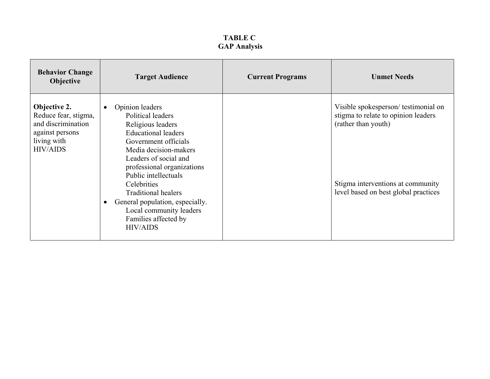| <b>Behavior Change</b><br><b>Objective</b>                                                                      | <b>Target Audience</b>                                                                                                                                                                                                                                                                                                                                                                                  | <b>Current Programs</b> | <b>Unmet Needs</b>                                                                                                                                                             |
|-----------------------------------------------------------------------------------------------------------------|---------------------------------------------------------------------------------------------------------------------------------------------------------------------------------------------------------------------------------------------------------------------------------------------------------------------------------------------------------------------------------------------------------|-------------------------|--------------------------------------------------------------------------------------------------------------------------------------------------------------------------------|
| Objective 2.<br>Reduce fear, stigma,<br>and discrimination<br>against persons<br>living with<br><b>HIV/AIDS</b> | Opinion leaders<br>$\bullet$<br>Political leaders<br>Religious leaders<br><b>Educational leaders</b><br>Government officials<br>Media decision-makers<br>Leaders of social and<br>professional organizations<br>Public intellectuals<br>Celebrities<br><b>Traditional healers</b><br>General population, especially.<br>$\bullet$<br>Local community leaders<br>Families affected by<br><b>HIV/AIDS</b> |                         | Visible spokesperson/testimonial on<br>stigma to relate to opinion leaders<br>(rather than youth)<br>Stigma interventions at community<br>level based on best global practices |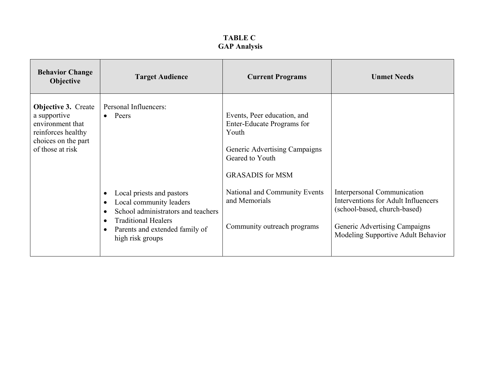| <b>Behavior Change</b><br>Objective                                                                                             | <b>Target Audience</b>                                                                                                                                                                                                                                                                         | <b>Current Programs</b>                                                                                                                                                                                                            | <b>Unmet Needs</b>                                                                                                                                                        |
|---------------------------------------------------------------------------------------------------------------------------------|------------------------------------------------------------------------------------------------------------------------------------------------------------------------------------------------------------------------------------------------------------------------------------------------|------------------------------------------------------------------------------------------------------------------------------------------------------------------------------------------------------------------------------------|---------------------------------------------------------------------------------------------------------------------------------------------------------------------------|
| <b>Objective 3. Create</b><br>a supportive<br>environment that<br>reinforces healthy<br>choices on the part<br>of those at risk | Personal Influencers:<br>Peers<br>$\bullet$<br>Local priests and pastors<br>$\bullet$<br>Local community leaders<br>$\bullet$<br>School administrators and teachers<br>$\bullet$<br><b>Traditional Healers</b><br>$\bullet$<br>Parents and extended family of<br>$\bullet$<br>high risk groups | Events, Peer education, and<br>Enter-Educate Programs for<br>Youth<br>Generic Advertising Campaigns<br>Geared to Youth<br><b>GRASADIS</b> for MSM<br>National and Community Events<br>and Memorials<br>Community outreach programs | Interpersonal Communication<br>Interventions for Adult Influencers<br>(school-based, church-based)<br>Generic Advertising Campaigns<br>Modeling Supportive Adult Behavior |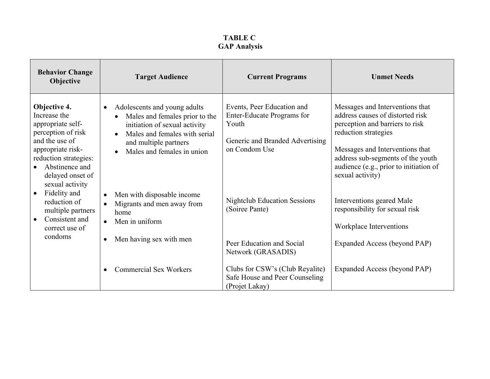| <b>Behavior Change</b><br>Objective                                                                                                                                                                                                                                                                                 | <b>Target Audience</b>                                                                                                                                                                                            | <b>Current Programs</b>                                                                                               | <b>Unmet Needs</b>                                                                                                                                                                                                                                                   |
|---------------------------------------------------------------------------------------------------------------------------------------------------------------------------------------------------------------------------------------------------------------------------------------------------------------------|-------------------------------------------------------------------------------------------------------------------------------------------------------------------------------------------------------------------|-----------------------------------------------------------------------------------------------------------------------|----------------------------------------------------------------------------------------------------------------------------------------------------------------------------------------------------------------------------------------------------------------------|
| Objective 4.<br>Increase the<br>appropriate self-<br>perception of risk<br>and the use of<br>appropriate risk-<br>reduction strategies:<br>Abstinence and<br>delayed onset of<br>sexual activity<br>Fidelity and<br>$\bullet$<br>reduction of<br>multiple partners<br>Consistent and<br>$\bullet$<br>correct use of | Adolescents and young adults<br>$\bullet$<br>Males and females prior to the<br>initiation of sexual activity<br>Males and females with serial<br>$\bullet$<br>and multiple partners<br>Males and females in union | Events, Peer Education and<br>Enter-Educate Programs for<br>Youth<br>Generic and Branded Advertising<br>on Condom Use | Messages and Interventions that<br>address causes of distorted risk<br>perception and barriers to risk<br>reduction strategies<br>Messages and Interventions that<br>address sub-segments of the youth<br>audience (e.g., prior to initiation of<br>sexual activity) |
|                                                                                                                                                                                                                                                                                                                     | Men with disposable income<br>$\bullet$<br>Migrants and men away from<br>home<br>Men in uniform<br>$\bullet$<br>Men having sex with men<br>$\bullet$                                                              | <b>Nightclub Education Sessions</b><br>(Soiree Pante)                                                                 | Interventions geared Male<br>responsibility for sexual risk<br>Workplace Interventions                                                                                                                                                                               |
| condoms                                                                                                                                                                                                                                                                                                             |                                                                                                                                                                                                                   | Peer Education and Social<br>Network (GRASADIS)                                                                       | Expanded Access (beyond PAP)                                                                                                                                                                                                                                         |
|                                                                                                                                                                                                                                                                                                                     | <b>Commercial Sex Workers</b><br>$\bullet$                                                                                                                                                                        | Clubs for CSW's (Club Reyalite)<br>Safe House and Peer Counseling<br>(Projet Lakay)                                   | Expanded Access (beyond PAP)                                                                                                                                                                                                                                         |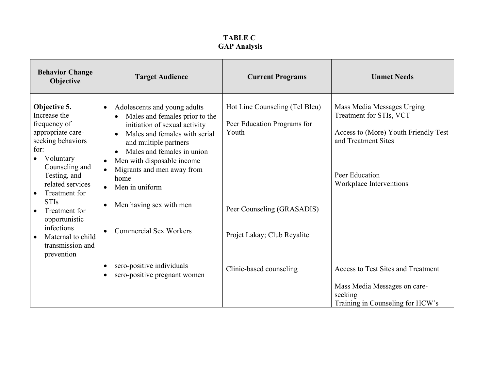| <b>Behavior Change</b><br>Objective                                                                                                                               | <b>Target Audience</b>                                                                                                                                                                                                                                                                                                                         | <b>Current Programs</b>                                                | <b>Unmet Needs</b>                                                                                                                                                |
|-------------------------------------------------------------------------------------------------------------------------------------------------------------------|------------------------------------------------------------------------------------------------------------------------------------------------------------------------------------------------------------------------------------------------------------------------------------------------------------------------------------------------|------------------------------------------------------------------------|-------------------------------------------------------------------------------------------------------------------------------------------------------------------|
| Objective 5.<br>Increase the<br>frequency of<br>appropriate care-<br>seeking behaviors<br>for:<br>Voluntary<br>Counseling and<br>Testing, and<br>related services | Adolescents and young adults<br>$\bullet$<br>Males and females prior to the<br>$\bullet$<br>initiation of sexual activity<br>Males and females with serial<br>and multiple partners<br>Males and females in union<br>Men with disposable income<br>$\bullet$<br>Migrants and men away from<br>$\bullet$<br>home<br>Men in uniform<br>$\bullet$ | Hot Line Counseling (Tel Bleu)<br>Peer Education Programs for<br>Youth | Mass Media Messages Urging<br>Treatment for STIs, VCT<br>Access to (More) Youth Friendly Test<br>and Treatment Sites<br>Peer Education<br>Workplace Interventions |
| Treatment for<br>$\bullet$<br><b>STIs</b><br>Treatment for<br>$\bullet$<br>opportunistic<br>infections<br>Maternal to child<br>$\bullet$<br>transmission and      | Men having sex with men<br>$\bullet$<br><b>Commercial Sex Workers</b><br>$\bullet$                                                                                                                                                                                                                                                             | Peer Counseling (GRASADIS)<br>Projet Lakay; Club Reyalite              |                                                                                                                                                                   |
| prevention                                                                                                                                                        | sero-positive individuals<br>$\bullet$<br>sero-positive pregnant women                                                                                                                                                                                                                                                                         | Clinic-based counseling                                                | Access to Test Sites and Treatment<br>Mass Media Messages on care-<br>seeking<br>Training in Counseling for HCW's                                                 |